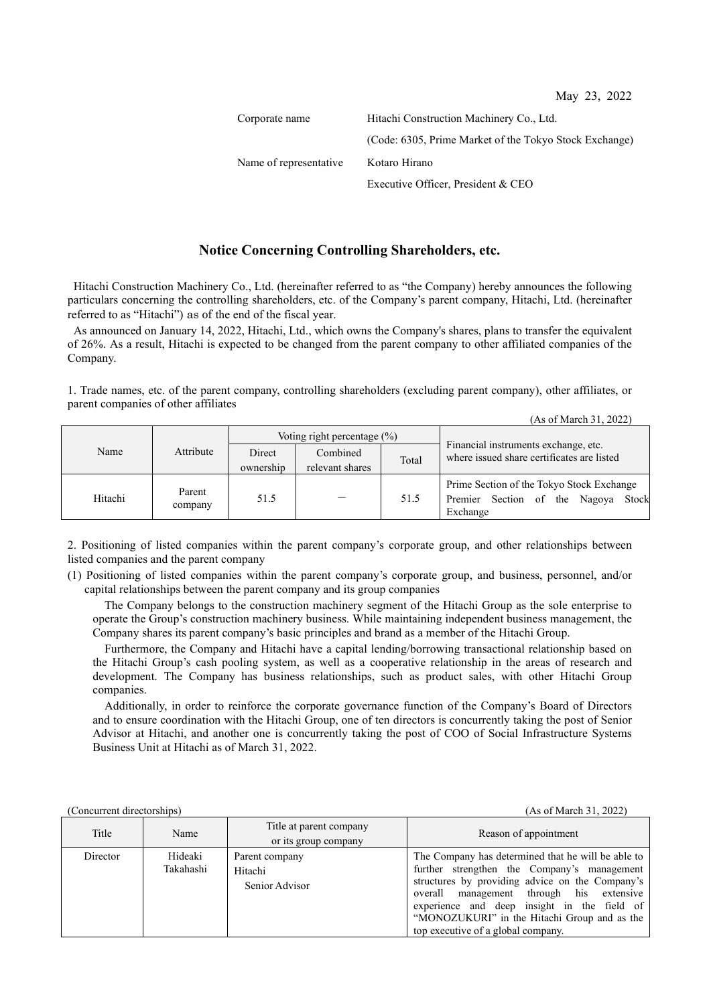(As of March 31, 2022)

| Corporate name         | Hitachi Construction Machinery Co., Ltd.               |  |  |  |
|------------------------|--------------------------------------------------------|--|--|--|
|                        | (Code: 6305, Prime Market of the Tokyo Stock Exchange) |  |  |  |
| Name of representative | Kotaro Hirano                                          |  |  |  |
|                        | Executive Officer, President & CEO                     |  |  |  |

## **Notice Concerning Controlling Shareholders, etc.**

Hitachi Construction Machinery Co., Ltd. (hereinafter referred to as "the Company) hereby announces the following particulars concerning the controlling shareholders, etc. of the Company's parent company, Hitachi, Ltd. (hereinafter referred to as "Hitachi") as of the end of the fiscal year.

As announced on January 14, 2022, Hitachi, Ltd., which owns the Company's shares, plans to transfer the equivalent of 26%. As a result, Hitachi is expected to be changed from the parent company to other affiliated companies of the Company.

1. Trade names, etc. of the parent company, controlling shareholders (excluding parent company), other affiliates, or parent companies of other affiliates

| Name    | Attribute         | Voting right percentage $(\%)$ |                 |       |                                                                                              |  |
|---------|-------------------|--------------------------------|-----------------|-------|----------------------------------------------------------------------------------------------|--|
|         |                   | Direct                         | Combined        | Total | Financial instruments exchange, etc.<br>where issued share certificates are listed           |  |
|         |                   | ownership                      | relevant shares |       |                                                                                              |  |
| Hitachi | Parent<br>company | 51.5                           |                 | 51.5  | Prime Section of the Tokyo Stock Exchange<br>Premier Section of the Nagoya Stock<br>Exchange |  |

2. Positioning of listed companies within the parent company's corporate group, and other relationships between listed companies and the parent company

(1) Positioning of listed companies within the parent company's corporate group, and business, personnel, and/or capital relationships between the parent company and its group companies

The Company belongs to the construction machinery segment of the Hitachi Group as the sole enterprise to operate the Group's construction machinery business. While maintaining independent business management, the Company shares its parent company's basic principles and brand as a member of the Hitachi Group.

Furthermore, the Company and Hitachi have a capital lending/borrowing transactional relationship based on the Hitachi Group's cash pooling system, as well as a cooperative relationship in the areas of research and development. The Company has business relationships, such as product sales, with other Hitachi Group companies.

Additionally, in order to reinforce the corporate governance function of the Company's Board of Directors and to ensure coordination with the Hitachi Group, one of ten directors is concurrently taking the post of Senior Advisor at Hitachi, and another one is concurrently taking the post of COO of Social Infrastructure Systems Business Unit at Hitachi as of March 31, 2022.

(Concurrent directorships) (As of March 31, 2022)

| Title    | Name                 | Title at parent company<br>or its group company | Reason of appointment                                                                                                                                                                                                                                                                                                                 |  |  |
|----------|----------------------|-------------------------------------------------|---------------------------------------------------------------------------------------------------------------------------------------------------------------------------------------------------------------------------------------------------------------------------------------------------------------------------------------|--|--|
| Director | Hideaki<br>Takahashi | Parent company<br>Hitachi<br>Senior Advisor     | The Company has determined that he will be able to<br>further strengthen the Company's management<br>structures by providing advice on the Company's<br>overall management through his extensive<br>experience and deep insight in the field of<br>"MONOZUKURI" in the Hitachi Group and as the<br>top executive of a global company. |  |  |